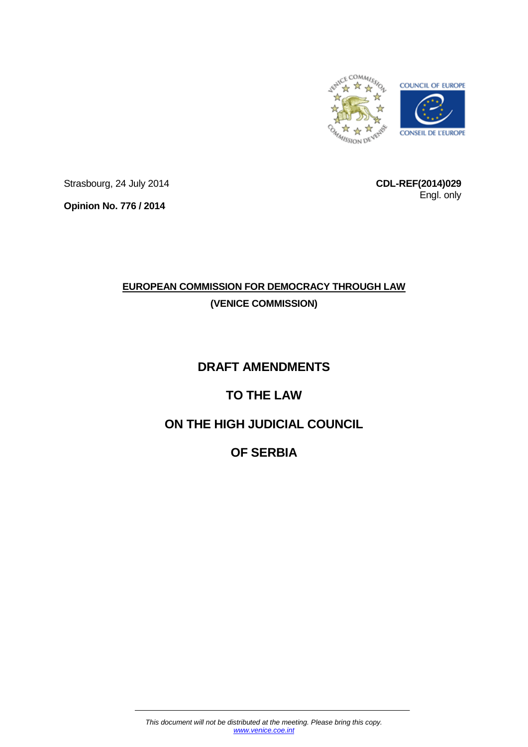

Strasbourg, 24 July 2014

**CDL-REF(2014)029** Engl. only

**Opinion No. 776 / 2014**

# **EUROPEAN COMMISSION FOR DEMOCRACY THROUGH LAW (VENICE COMMISSION)**

# **DRAFT AMENDMENTS**

# **TO THE LAW**

# **ON THE HIGH JUDICIAL COUNCIL**

# **OF SERBIA**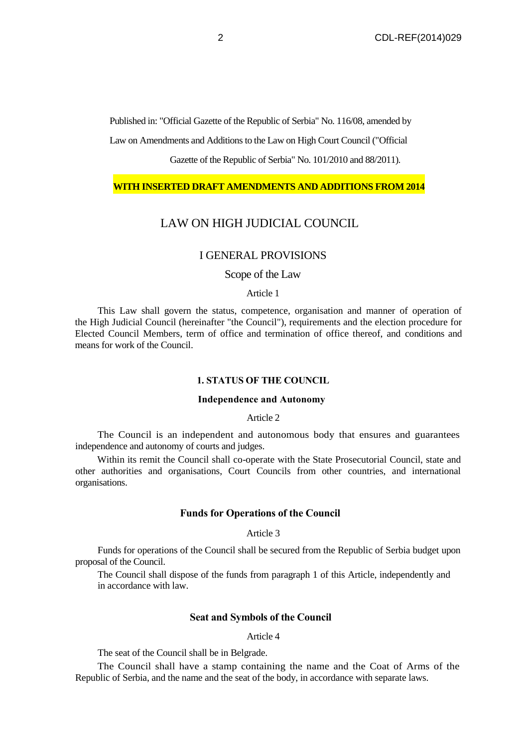Published in: "Official Gazette of the Republic of Serbia" No. 116/08, amended by

Law on Amendments and Additions to the Law on High Court Council ("Official

Gazette of the Republic of Serbia" No. 101/2010 and 88/2011).

## **WITH INSERTED DRAFT AMENDMENTS AND ADDITIONS FROM 2014**

# LAW ON HIGH JUDICIAL COUNCIL

# I GENERAL PROVISIONS

# Scope of the Law

#### Article 1

This Law shall govern the status, competence, organisation and manner of operation of the High Judicial Council (hereinafter "the Council"), requirements and the election procedure for Elected Council Members, term of office and termination of office thereof, and conditions and means for work of the Council.

## **1. STATUS OF THE COUNCIL**

## **Independence and Autonomy**

## Article 2

The Council is an independent and autonomous body that ensures and guarantees independence and autonomy of courts and judges.

Within its remit the Council shall co-operate with the State Prosecutorial Council, state and other authorities and organisations, Court Councils from other countries, and international organisations.

## **Funds for Operations of the Council**

### Article 3

Funds for operations of the Council shall be secured from the Republic of Serbia budget upon proposal of the Council.

The Council shall dispose of the funds from paragraph 1 of this Article, independently and in accordance with law.

## **Seat and Symbols of the Council**

#### Article 4

The seat of the Council shall be in Belgrade.

The Council shall have a stamp containing the name and the Coat of Arms of the Republic of Serbia, and the name and the seat of the body, in accordance with separate laws.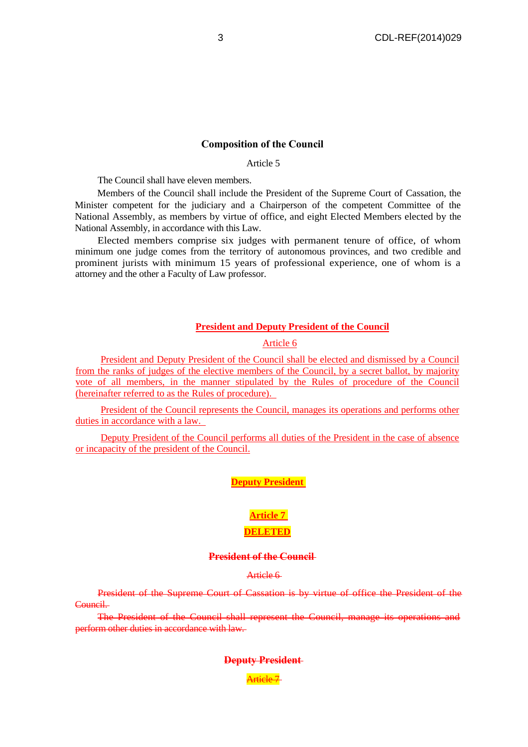## **Composition of the Council**

Article 5

The Council shall have eleven members.

Members of the Council shall include the President of the Supreme Court of Cassation, the Minister competent for the judiciary and a Chairperson of the competent Committee of the National Assembly, as members by virtue of office, and eight Elected Members elected by the National Assembly, in accordance with this Law.

Elected members comprise six judges with permanent tenure of office, of whom minimum one judge comes from the territory of autonomous provinces, and two credible and prominent jurists with minimum 15 years of professional experience, one of whom is a attorney and the other a Faculty of Law professor.

## **President and Deputy President of the Council**

Article 6

President and Deputy President of the Council shall be elected and dismissed by a Council from the ranks of judges of the elective members of the Council, by a secret ballot, by majority vote of all members, in the manner stipulated by the Rules of procedure of the Council (hereinafter referred to as the Rules of procedure).

President of the Council represents the Council, manages its operations and performs other duties in accordance with a law.

Deputy President of the Council performs all duties of the President in the case of absence or incapacity of the president of the Council.

# **Deputy President**

# **Article 7 DELETED**

#### **President of the Council**

Article 6

President of the Supreme Court of Cassation is by virtue of office the President of the Council.

The President of the Council shall represent the Council, manage its operations and perform other duties in accordance with law.

### **Deputy President**

Article 7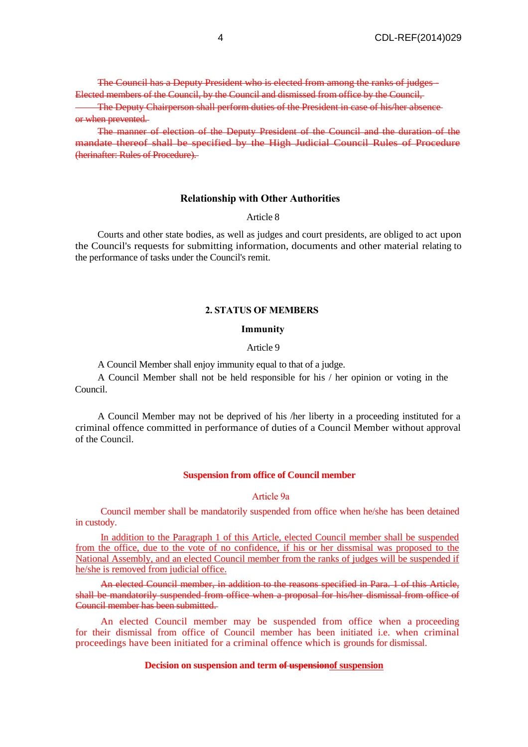The Council has a Deputy President who is elected from among the ranks of judges - Elected members of the Council, by the Council and dismissed from office by the Council,

The Deputy Chairperson shall perform duties of the President in case of his/her absence or when prevented.

The manner of election of the Deputy President of the Council and the duration of the mandate thereof shall be specified by the High Judicial Council Rules of Procedure (herinafter: Rules of Procedure).

#### **Relationship with Other Authorities**

Article 8

Courts and other state bodies, as well as judges and court presidents, are obliged to act upon the Council's requests for submitting information, documents and other material relating to the performance of tasks under the Council's remit.

## **2. STATUS OF MEMBERS**

#### **Immunity**

### Article 9

A Council Member shall enjoy immunity equal to that of a judge.

A Council Member shall not be held responsible for his / her opinion or voting in the Council.

A Council Member may not be deprived of his /her liberty in a proceeding instituted for a criminal offence committed in performance of duties of a Council Member without approval of the Council.

## **Suspension from office of Council member**

#### Article 9а

Council member shall be mandatorily suspended from office when he/she has been detained in custody.

In addition to the Paragraph 1 of this Article, elected Council member shall be suspended from the office, due to the vote of no confidence, if his or her dissmisal was proposed to the National Assembly, and an elected Council member from the ranks of judges will be suspended if he/she is removed from judicial office.

An elected Council member, in addition to the reasons specified in Para. 1 of this Article, shall be mandatorily suspended from office when a proposal for his/her dismissal from office of Council member has been submitted.

An elected Council member may be suspended from office when a proceeding for their dismissal from office of Council member has been initiated i.e. when criminal proceedings have been initiated for a criminal offence which is grounds for dismissal.

## **Decision on suspension and term of uspensionof suspension**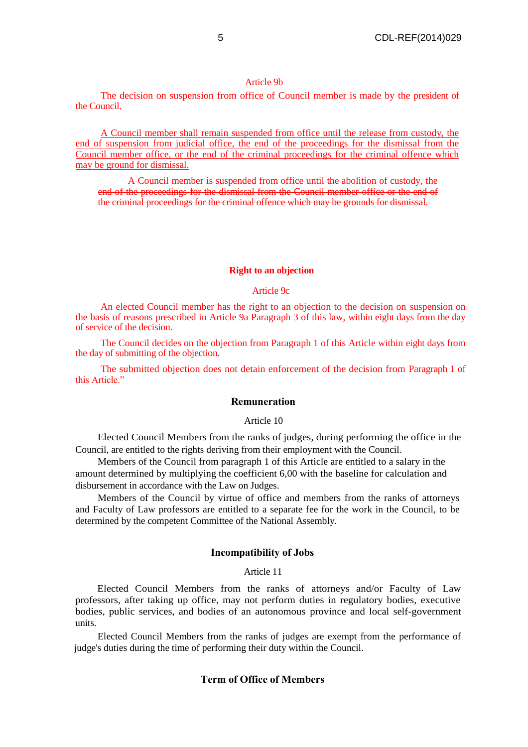#### Article 9b

The decision on suspension from office of Council member is made by the president of the Council.

A Council member shall remain suspended from office until the release from custody, the end of suspension from judicial office, the end of the proceedings for the dismissal from the Council member office, or the end of the criminal proceedings for the criminal offence which may be ground for dismissal.

A Council member is suspended from office until the abolition of custody, the end of the proceedings for the dismissal from the Council member office or the end of the criminal proceedings for the criminal offence which may be grounds for dismissal.

#### **Right to an objection**

#### Article 9c

An elected Council member has the right to an objection to the decision on suspension on the basis of reasons prescribed in Article 9a Paragraph 3 of this law, within eight days from the day of service of the decision.

The Council decides on the objection from Paragraph 1 of this Article within eight days from the day of submitting of the objection.

The submitted objection does not detain enforcement of the decision from Paragraph 1 of this Article."

## **Remuneration**

#### Article 10

Elected Council Members from the ranks of judges, during performing the office in the Council, are entitled to the rights deriving from their employment with the Council.

Members of the Council from paragraph 1 of this Article are entitled to a salary in the amount determined by multiplying the coefficient 6,00 with the baseline for calculation and disbursement in accordance with the Law on Judges.

Members of the Council by virtue of office and members from the ranks of attorneys and Faculty of Law professors are entitled to a separate fee for the work in the Council, to be determined by the competent Committee of the National Assembly.

### **Incompatibility of Jobs**

### Article 11

Elected Council Members from the ranks of attorneys and/or Faculty of Law professors, after taking up office, may not perform duties in regulatory bodies, executive bodies, public services, and bodies of an autonomous province and local self-government units.

Elected Council Members from the ranks of judges are exempt from the performance of judge's duties during the time of performing their duty within the Council.

# **Term of Office of Members**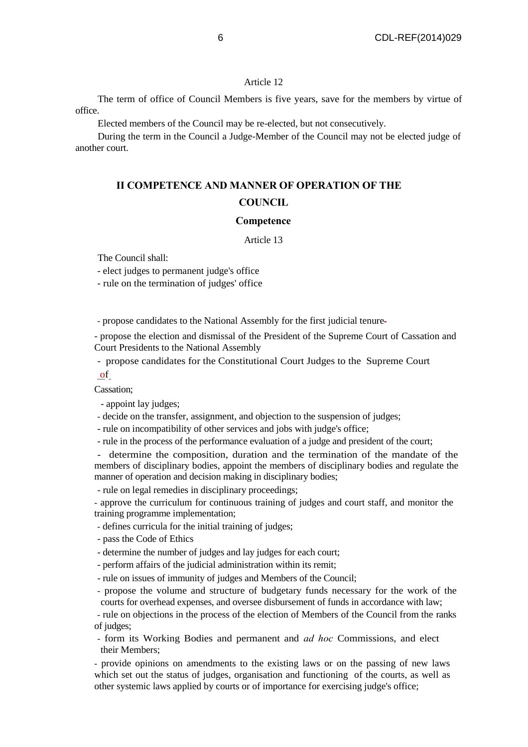The term of office of Council Members is five years, save for the members by virtue of office.

Elected members of the Council may be re-elected, but not consecutively.

During the term in the Council a Judge-Member of the Council may not be elected judge of another court.

# **II COMPETENCE AND MANNER OF OPERATION OF THE COUNCIL**

#### **Competence**

Article 13

The Council shall:

- elect judges to permanent judge's office

- rule on the termination of judges' office

- propose candidates to the National Assembly for the first judicial tenure

- propose the election and dismissal of the President of the Supreme Court of Cassation and Court Presidents to the National Assembly

- propose candidates for the Constitutional Court Judges to the Supreme Court of

Cassation;

- appoint lay judges;

- decide on the transfer, assignment, and objection to the suspension of judges;

- rule on incompatibility of other services and jobs with judge's office;

- rule in the process of the performance evaluation of a judge and president of the court;

- determine the composition, duration and the termination of the mandate of the members of disciplinary bodies, appoint the members of disciplinary bodies and regulate the manner of operation and decision making in disciplinary bodies;

- rule on legal remedies in disciplinary proceedings;

- approve the curriculum for continuous training of judges and court staff, and monitor the training programme implementation;

- defines curricula for the initial training of judges;

- pass the Code of Ethics

- determine the number of judges and lay judges for each court;

- perform affairs of the judicial administration within its remit;

- rule on issues of immunity of judges and Members of the Council;

- propose the volume and structure of budgetary funds necessary for the work of the courts for overhead expenses, and oversee disbursement of funds in accordance with law;

- rule on objections in the process of the election of Members of the Council from the ranks of judges;

- form its Working Bodies and permanent and *ad hoc* Commissions, and elect their Members;

- provide opinions on amendments to the existing laws or on the passing of new laws which set out the status of judges, organisation and functioning of the courts, as well as other systemic laws applied by courts or of importance for exercising judge's office;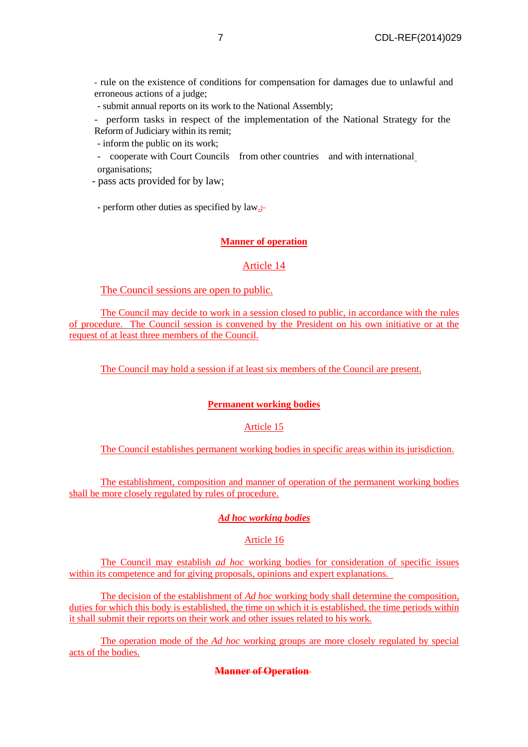- rule on the existence of conditions for compensation for damages due to unlawful and erroneous actions of a judge;

- submit annual reports on its work to the National Assembly;

- perform tasks in respect of the implementation of the National Strategy for the Reform of Judiciary within its remit;

- inform the public on its work;

- cooperate with Court Councils from other countries and with international organisations;

- pass acts provided for by law;

- perform other duties as specified by law<sub>:</sub>

# **Manner of operation**

# Article 14

# The Council sessions are open to public.

The Council may decide to work in a session closed to public, in accordance with the rules of procedure. The Council session is convened by the President on his own initiative or at the request of at least three members of the Council.

The Council may hold a session if at least six members of the Council are present.

# **Permanent working bodies**

# Article 15

The Council establishes permanent working bodies in specific areas within its jurisdiction.

The establishment, composition and manner of operation of the permanent working bodies shall be more closely regulated by rules of procedure.

# *Ad hoc working bodies*

# Article 16

The Council may establish *ad hoc* working bodies for consideration of specific issues within its competence and for giving proposals, opinions and expert explanations.

The decision of the establishment of *Ad hoc* working body shall determine the composition, duties for which this body is established, the time on which it is established, the time periods within it shall submit their reports on their work and other issues related to his work.

The operation mode of the *Ad hoc* working groups are more closely regulated by special acts of the bodies.

**Manner of Operation**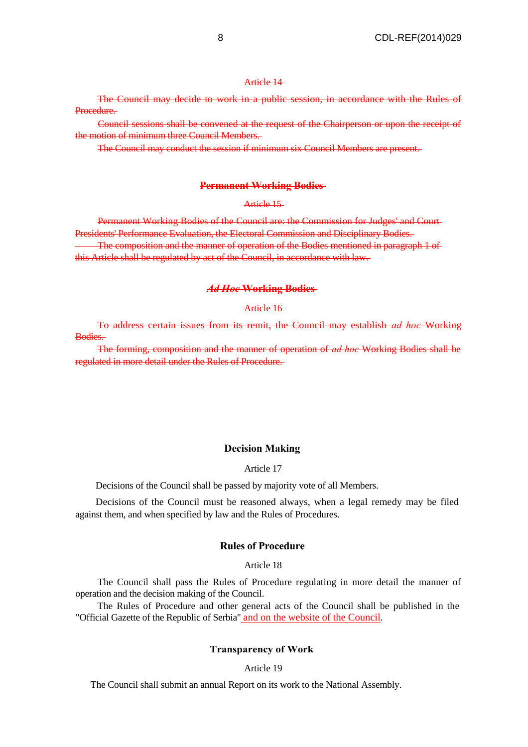The Council may decide to work in a public session, in accordance with the Rules of Procedure.

Council sessions shall be convened at the request of the Chairperson or upon the receipt of the motion of minimum three Council Members.

The Council may conduct the session if minimum six Council Members are present.

## **Permanent Working Bodies**

## Article 15

Permanent Working Bodies of the Council are: the Commission for Judges' and Court Presidents' Performance Evaluation, the Electoral Commission and Disciplinary Bodies. The composition and the manner of operation of the Bodies mentioned in paragraph 1 of this Article shall be regulated by act of the Council, in accordance with law.

#### *Ad Hoc* **Working Bodies**

#### Article 16

To address certain issues from its remit, the Council may establish *ad hoc* Working Bodies.

The forming, composition and the manner of operation of *ad hoc* Working Bodies shall be regulated in more detail under the Rules of Procedure.

#### **Decision Making**

#### Article 17

Decisions of the Council shall be passed by majority vote of all Members.

Decisions of the Council must be reasoned always, when a legal remedy may be filed against them, and when specified by law and the Rules of Procedures.

#### **Rules of Procedure**

#### Article 18

The Council shall pass the Rules of Procedure regulating in more detail the manner of operation and the decision making of the Council.

The Rules of Procedure and other general acts of the Council shall be published in the "Official Gazette of the Republic of Serbia" and on the website of the Council.

#### **Transparency of Work**

Article 19

The Council shall submit an annual Report on its work to the National Assembly.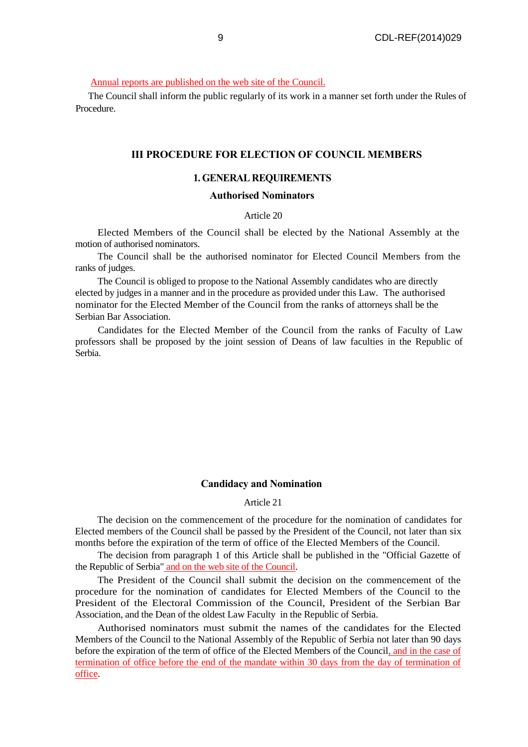Annual reports are published on the web site of the Council.

The Council shall inform the public regularly of its work in a manner set forth under the Rules of Procedure.

## **III PROCEDURE FOR ELECTION OF COUNCIL MEMBERS**

# **1. GENERAL REQUIREMENTS**

# **Authorised Nominators**

## Article 20

Elected Members of the Council shall be elected by the National Assembly at the motion of authorised nominators.

The Council shall be the authorised nominator for Elected Council Members from the ranks of judges.

The Council is obliged to propose to the National Assembly candidates who are directly elected by judges in a manner and in the procedure as provided under this Law. The authorised nominator for the Elected Member of the Council from the ranks of attorneys shall be the Serbian Bar Association.

Candidates for the Elected Member of the Council from the ranks of Faculty of Law professors shall be proposed by the joint session of Deans of law faculties in the Republic of Serbia.

## **Candidacy and Nomination**

## Article 21

The decision on the commencement of the procedure for the nomination of candidates for Elected members of the Council shall be passed by the President of the Council, not later than six months before the expiration of the term of office of the Elected Members of the Council.

The decision from paragraph 1 of this Article shall be published in the "Official Gazette of the Republic of Serbia" and on the web site of the Council.

The President of the Council shall submit the decision on the commencement of the procedure for the nomination of candidates for Elected Members of the Council to the President of the Electoral Commission of the Council, President of the Serbian Bar Association, and the Dean of the oldest Law Faculty in the Republic of Serbia.

Authorised nominators must submit the names of the candidates for the Elected Members of the Council to the National Assembly of the Republic of Serbia not later than 90 days before the expiration of the term of office of the Elected Members of the Council, and in the case of termination of office before the end of the mandate within 30 days from the day of termination of office.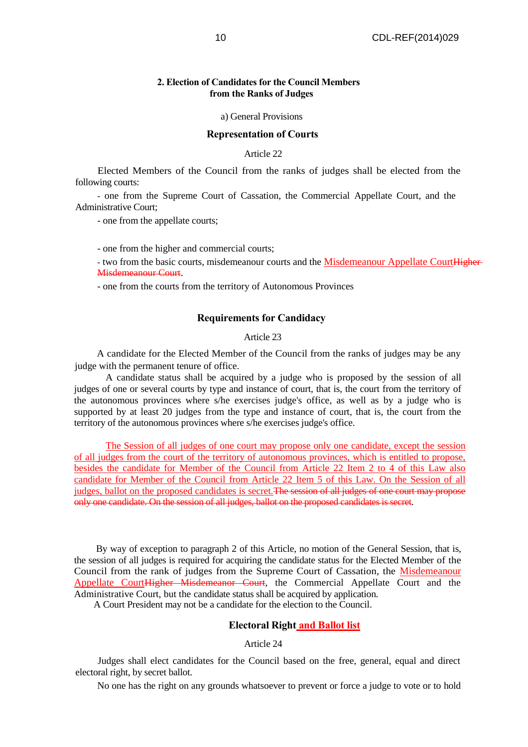## **2. Election of Candidates for the Council Members from the Ranks of Judges**

a) General Provisions

#### **Representation of Courts**

Article 22

Elected Members of the Council from the ranks of judges shall be elected from the following courts:

- one from the Supreme Court of Cassation, the Commercial Appellate Court, and the Administrative Court;

- one from the appellate courts;

- one from the higher and commercial courts;

- two from the basic courts, misdemeanour courts and the Misdemeanour Appellate CourtHigher-Misdemeanour Court.

- one from the courts from the territory of Autonomous Provinces

## **Requirements for Candidacy**

# Article 23

A candidate for the Elected Member of the Council from the ranks of judges may be any judge with the permanent tenure of office.

A candidate status shall be acquired by a judge who is proposed by the session of all judges of one or several courts by type and instance of court, that is, the court from the territory of the autonomous provinces where s/he exercises judge's office, as well as by a judge who is supported by at least 20 judges from the type and instance of court, that is, the court from the territory of the autonomous provinces where s/he exercises judge's office.

The Session of all judges of one court may propose only one candidate, except the session of all judges from the court of the territory of autonomous provinces, which is entitled to propose, besides the candidate for Member of the Council from Article 22 Item 2 to 4 of this Law also candidate for Member of the Council from Article 22 Item 5 of this Law. On the Session of all judges, ballot on the proposed candidates is secret. The session of all judges of one court may propose only one candidate. On the session of all judges, ballot on the proposed candidates is secret.

By way of exception to paragraph 2 of this Article, no motion of the General Session, that is, the session of all judges is required for acquiring the candidate status for the Elected Member of the Council from the rank of judges from the Supreme Court of Cassation, the Misdemeanour Appellate CourtHigher Misdemeanor Court, the Commercial Appellate Court and the Administrative Court, but the candidate status shall be acquired by application.

A Court President may not be a candidate for the election to the Council.

## **Electoral Right and Ballot list**

Article 24

Judges shall elect candidates for the Council based on the free, general, equal and direct electoral right, by secret ballot.

No one has the right on any grounds whatsoever to prevent or force a judge to vote or to hold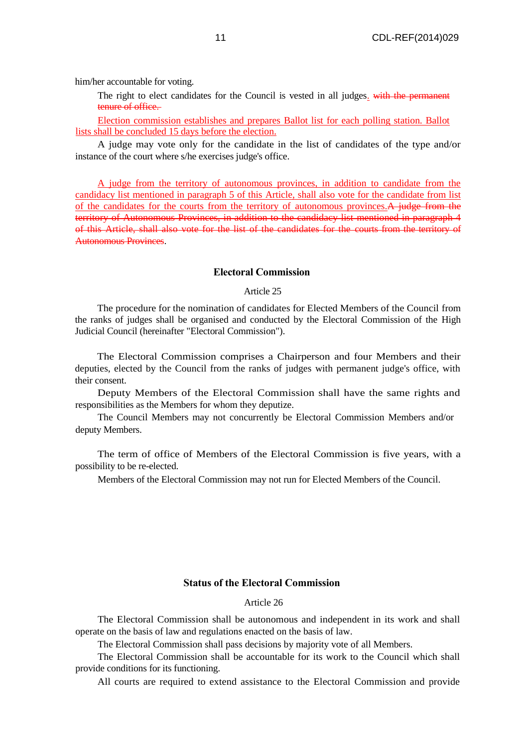him/her accountable for voting.

The right to elect candidates for the Council is vested in all judges. with the permanent tenure of office.

Election commission establishes and prepares Ballot list for each polling station. Ballot lists shall be concluded 15 days before the election.

A judge may vote only for the candidate in the list of candidates of the type and/or instance of the court where s/he exercises judge's office.

A judge from the territory of autonomous provinces, in addition to candidate from the candidacy list mentioned in paragraph 5 of this Article, shall also vote for the candidate from list of the candidates for the courts from the territory of autonomous provinces.A judge from the territory of Autonomous Provinces, in addition to the candidacy list mentioned in paragraph 4 of this Article, shall also vote for the list of the candidates for the courts from the territory of Autonomous Provinces.

## **Electoral Commission**

#### Article 25

The procedure for the nomination of candidates for Elected Members of the Council from the ranks of judges shall be organised and conducted by the Electoral Commission of the High Judicial Council (hereinafter "Electoral Commission").

The Electoral Commission comprises a Chairperson and four Members and their deputies, elected by the Council from the ranks of judges with permanent judge's office, with their consent.

Deputy Members of the Electoral Commission shall have the same rights and responsibilities as the Members for whom they deputize.

The Council Members may not concurrently be Electoral Commission Members and/or deputy Members.

The term of office of Members of the Electoral Commission is five years, with a possibility to be re-elected.

Members of the Electoral Commission may not run for Elected Members of the Council.

# **Status of the Electoral Commission**

#### Article 26

The Electoral Commission shall be autonomous and independent in its work and shall operate on the basis of law and regulations enacted on the basis of law.

The Electoral Commission shall pass decisions by majority vote of all Members.

The Electoral Commission shall be accountable for its work to the Council which shall provide conditions for its functioning.

All courts are required to extend assistance to the Electoral Commission and provide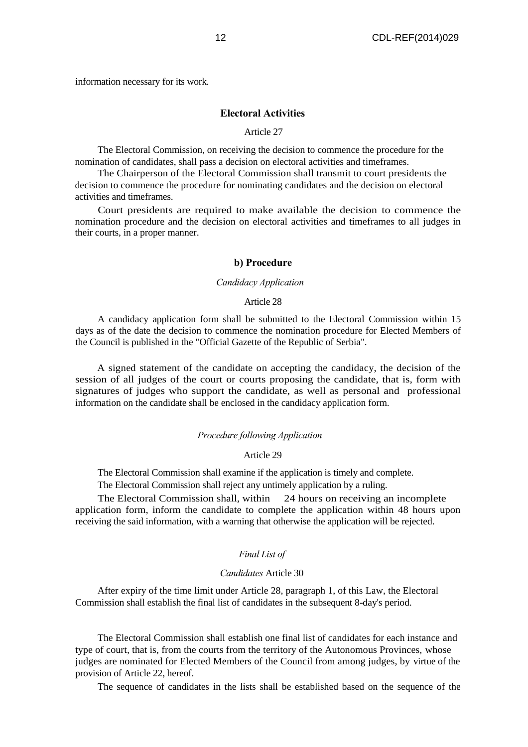information necessary for its work.

## **Electoral Activities**

#### Article 27

The Electoral Commission, on receiving the decision to commence the procedure for the nomination of candidates, shall pass a decision on electoral activities and timeframes.

The Chairperson of the Electoral Commission shall transmit to court presidents the decision to commence the procedure for nominating candidates and the decision on electoral activities and timeframes.

Court presidents are required to make available the decision to commence the nomination procedure and the decision on electoral activities and timeframes to all judges in their courts, in a proper manner.

## **b) Procedure**

#### *Candidacy Application*

#### Article 28

A candidacy application form shall be submitted to the Electoral Commission within 15 days as of the date the decision to commence the nomination procedure for Elected Members of the Council is published in the "Official Gazette of the Republic of Serbia".

A signed statement of the candidate on accepting the candidacy, the decision of the session of all judges of the court or courts proposing the candidate, that is, form with signatures of judges who support the candidate, as well as personal and professional information on the candidate shall be enclosed in the candidacy application form.

#### *Procedure following Application*

### Article 29

The Electoral Commission shall examine if the application is timely and complete.

The Electoral Commission shall reject any untimely application by a ruling.

The Electoral Commission shall, within 24 hours on receiving an incomplete application form, inform the candidate to complete the application within 48 hours upon receiving the said information, with a warning that otherwise the application will be rejected.

#### *Final List of*

#### *Candidates* Article 30

After expiry of the time limit under Article 28, paragraph 1, of this Law, the Electoral Commission shall establish the final list of candidates in the subsequent 8-day's period.

The Electoral Commission shall establish one final list of candidates for each instance and type of court, that is, from the courts from the territory of the Autonomous Provinces, whose judges are nominated for Elected Members of the Council from among judges, by virtue of the provision of Article 22, hereof.

The sequence of candidates in the lists shall be established based on the sequence of the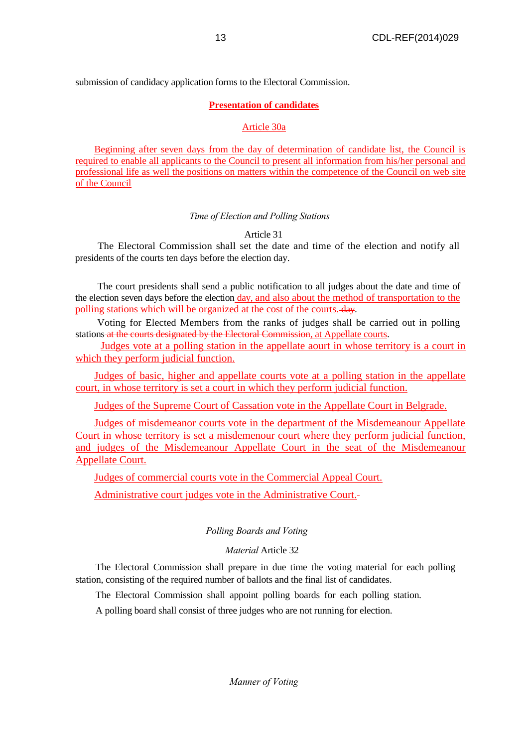submission of candidacy application forms to the Electoral Commission.

# **Presentation of candidates**

# Article 30a

Beginning after seven days from the day of determination of candidate list, the Council is required to enable all applicants to the Council to present all information from his/her personal and professional life as well the positions on matters within the competence of the Council on web site of the Council

# *Time of Election and Polling Stations*

# Article 31

The Electoral Commission shall set the date and time of the election and notify all presidents of the courts ten days before the election day.

The court presidents shall send a public notification to all judges about the date and time of the election seven days before the election day, and also about the method of transportation to the polling stations which will be organized at the cost of the courts. day.

Voting for Elected Members from the ranks of judges shall be carried out in polling stations at the courts designated by the Electoral Commission, at Appellate courts.

Judges vote at a polling station in the appellate aourt in whose territory is a court in which they perform judicial function.

Judges of basic, higher and appellate courts vote at a polling station in the appellate court, in whose territory is set a court in which they perform judicial function.

Judges of the Supreme Court of Cassation vote in the Appellate Court in Belgrade.

Judges of misdemeanor courts vote in the department of the Misdemeanour Appellate Court in whose territory is set a misdemenour court where they perform judicial function, and judges of the Misdemeanour Appellate Court in the seat of the Misdemeanour Appellate Court.

Judges of commercial courts vote in the Commercial Appeal Court.

Administrative court judges vote in the Administrative Court.

# *Polling Boards and Voting*

# *Material* Article 32

The Electoral Commission shall prepare in due time the voting material for each polling station, consisting of the required number of ballots and the final list of candidates.

The Electoral Commission shall appoint polling boards for each polling station.

A polling board shall consist of three judges who are not running for election.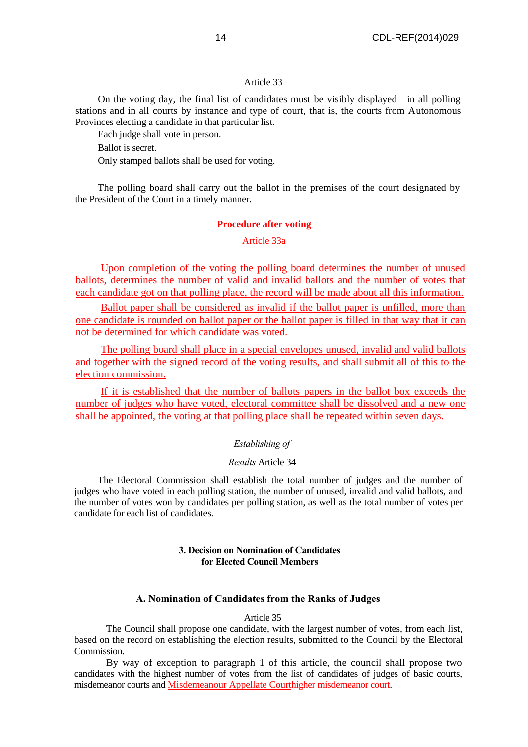On the voting day, the final list of candidates must be visibly displayed in all polling stations and in all courts by instance and type of court, that is, the courts from Autonomous Provinces electing a candidate in that particular list.

Each judge shall vote in person.

Ballot is secret.

Only stamped ballots shall be used for voting.

The polling board shall carry out the ballot in the premises of the court designated by the President of the Court in a timely manner.

### **Procedure after voting**

## Article 33a

Upon completion of the voting the polling board determines the number of unused ballots, determines the number of valid and invalid ballots and the number of votes that each candidate got on that polling place, the record will be made about all this information.

Ballot paper shall be considered as invalid if the ballot paper is unfilled, more than one candidate is rounded on ballot paper or the ballot paper is filled in that way that it can not be determined for which candidate was voted.

The polling board shall place in a special envelopes unused, invalid and valid ballots and together with the signed record of the voting results, and shall submit all of this to the election commission.

If it is established that the number of ballots papers in the ballot box exceeds the number of judges who have voted, electoral committee shall be dissolved and a new one shall be appointed, the voting at that polling place shall be repeated within seven days.

### *Establishing of*

## *Results* Article 34

The Electoral Commission shall establish the total number of judges and the number of judges who have voted in each polling station, the number of unused, invalid and valid ballots, and the number of votes won by candidates per polling station, as well as the total number of votes per candidate for each list of candidates.

# **3. Decision on Nomination of Candidates for Elected Council Members**

## **А. Nomination of Candidates from the Ranks of Judges**

#### Article 35

The Council shall propose one candidate, with the largest number of votes, from each list, based on the record on establishing the election results, submitted to the Council by the Electoral Commission.

By way of exception to paragraph 1 of this article, the council shall propose two candidates with the highest number of votes from the list of candidates of judges of basic courts, misdemeanor courts and Misdemeanour Appellate Courthigher misdemeanor court.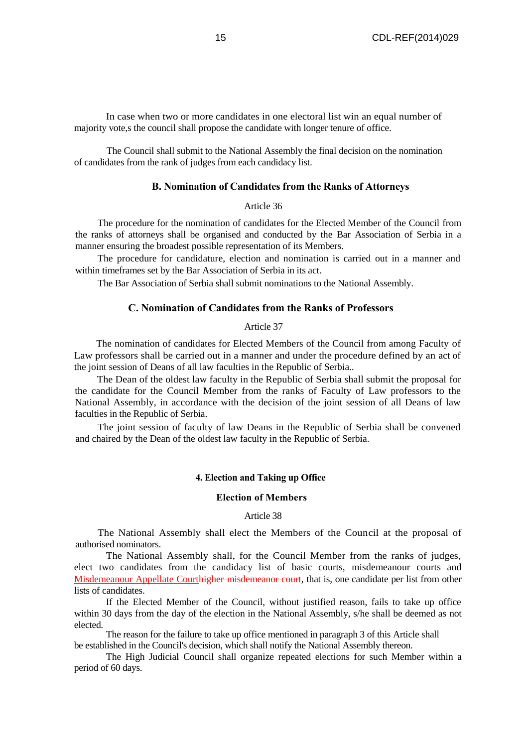In case when two or more candidates in one electoral list win an equal number of majority vote,s the council shall propose the candidate with longer tenure of office.

The Council shall submit to the National Assembly the final decision on the nomination of candidates from the rank of judges from each candidacy list.

# **B. Nomination of Candidates from the Ranks of Attorneys**

#### Article 36

The procedure for the nomination of candidates for the Elected Member of the Council from the ranks of attorneys shall be organised and conducted by the Bar Association of Serbia in a manner ensuring the broadest possible representation of its Members.

The procedure for candidature, election and nomination is carried out in a manner and within timeframes set by the Bar Association of Serbia in its act.

The Bar Association of Serbia shall submit nominations to the National Assembly.

# **C. Nomination of Candidates from the Ranks of Professors**

## Article 37

The nomination of candidates for Elected Members of the Council from among Faculty of Law professors shall be carried out in a manner and under the procedure defined by an act of the joint session of Deans of all law faculties in the Republic of Serbia..

The Dean of the oldest law faculty in the Republic of Serbia shall submit the proposal for the candidate for the Council Member from the ranks of Faculty of Law professors to the National Assembly, in accordance with the decision of the joint session of all Deans of law faculties in the Republic of Serbia.

The joint session of faculty of law Deans in the Republic of Serbia shall be convened and chaired by the Dean of the oldest law faculty in the Republic of Serbia.

#### **4. Election and Taking up Office**

#### **Election of Members**

Article 38

The National Assembly shall elect the Members of the Council at the proposal of authorised nominators.

The National Assembly shall, for the Council Member from the ranks of judges, elect two candidates from the candidacy list of basic courts, misdemeanour courts and Misdemeanour Appellate Courthigher misdemeanor court, that is, one candidate per list from other lists of candidates.

If the Elected Member of the Council, without justified reason, fails to take up office within 30 days from the day of the election in the National Assembly, s/he shall be deemed as not elected.

The reason for the failure to take up office mentioned in paragraph 3 of this Article shall be established in the Council's decision, which shall notify the National Assembly thereon.

The High Judicial Council shall organize repeated elections for such Member within a period of 60 days.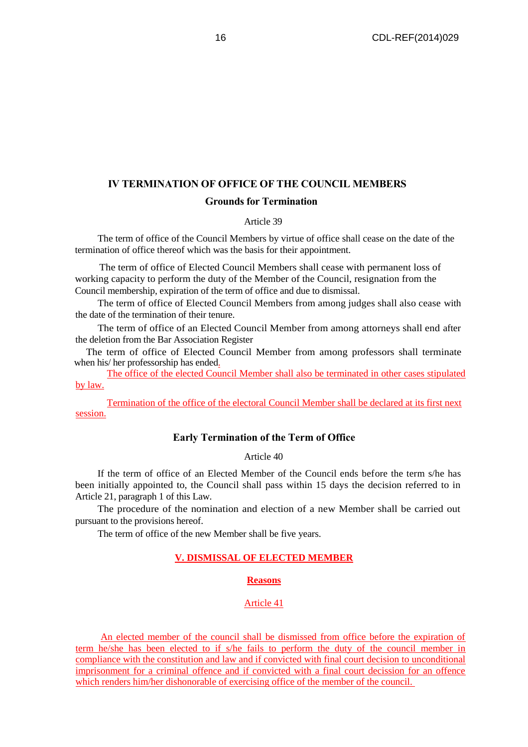# **IV TERMINATION OF OFFICE OF THE COUNCIL MEMBERS Grounds for Termination**

### Article 39

The term of office of the Council Members by virtue of office shall cease on the date of the termination of office thereof which was the basis for their appointment.

The term of office of Elected Council Members shall cease with permanent loss of working capacity to perform the duty of the Member of the Council, resignation from the Council membership, expiration of the term of office and due to dismissal.

The term of office of Elected Council Members from among judges shall also cease with the date of the termination of their tenure.

The term of office of an Elected Council Member from among attorneys shall end after the deletion from the Bar Association Register

The term of office of Elected Council Member from among professors shall terminate when his/ her professorship has ended.

The office of the elected Council Member shall also be terminated in other cases stipulated by law.

Termination of the office of the electoral Council Member shall be declared at its first next session.

## **Early Termination of the Term of Office**

# Article 40

If the term of office of an Elected Member of the Council ends before the term s/he has been initially appointed to, the Council shall pass within 15 days the decision referred to in Article 21, paragraph 1 of this Law.

The procedure of the nomination and election of a new Member shall be carried out pursuant to the provisions hereof.

The term of office of the new Member shall be five years.

# **V. DISMISSAL OF ELECTED MEMBER**

## **Reasons**

## Article 41

An elected member of the council shall be dismissed from office before the expiration of term he/she has been elected to if s/he fails to perform the duty of the council member in compliance with the constitution and law and if convicted with final court decision to unconditional imprisonment for a criminal offence and if convicted with a final court decission for an offence which renders him/her dishonorable of exercising office of the member of the council.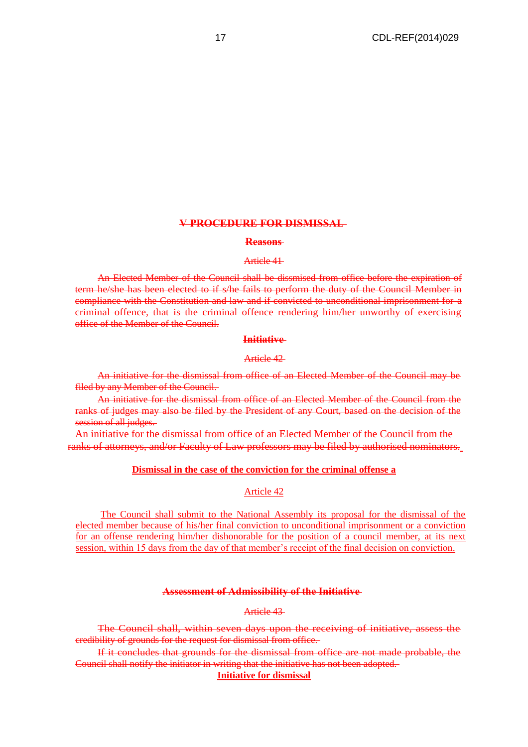# **V PROCEDURE FOR DISMISSAL**

#### **Reasons**

#### Article 41

An Elected Member of the Council shall be dissmised from office before the expiration of term he/she has been elected to if s/he fails to perform the duty of the Council Member in compliance with the Constitution and law and if convicted to unconditional imprisonment for a criminal offence, that is the criminal offence rendering him/her unworthy of exercising office of the Member of the Council.

#### **Initiative**

## Article 42

An initiative for the dismissal from office of an Elected Member of the Council may be filed by any Member of the Council.

An initiative for the dismissal from office of an Elected Member of the Council from the ranks of judges may also be filed by the President of any Court, based on the decision of the session of all judges.

An initiative for the dismissal from office of an Elected Member of the Council from the ranks of attorneys, and/or Faculty of Law professors may be filed by authorised nominators.

#### **Dismissal in the case of the conviction for the criminal offense a**

# Article 42

The Council shall submit to the National Assembly its proposal for the dismissal of the elected member because of his/her final conviction to unconditional imprisonment or a conviction for an offense rendering him/her dishonorable for the position of a council member, at its next session, within 15 days from the day of that member's receipt of the final decision on conviction.

#### **Assessment of Admissibility of the Initiative**

Article 43

The Council shall, within seven days upon the receiving of initiative, assess the credibility of grounds for the request for dismissal from office.

If it concludes that grounds for the dismissal from office are not made probable, the Council shall notify the initiator in writing that the initiative has not been adopted.

**Initiative for dismissal**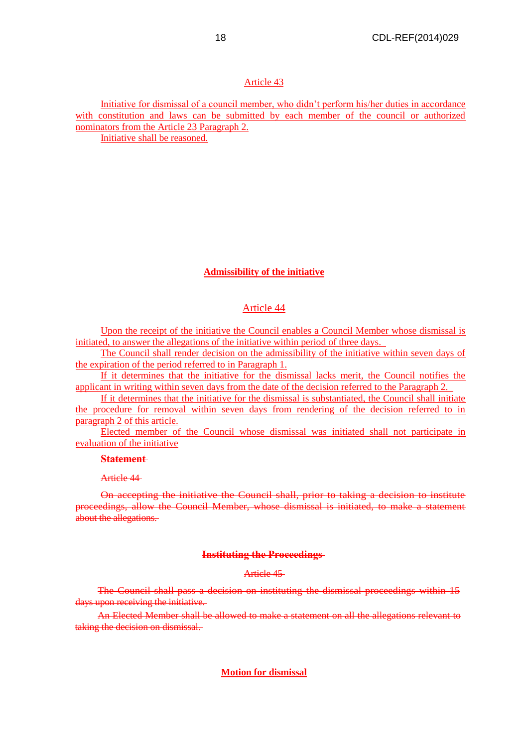Initiative for dismissal of a council member, who didn't perform his/her duties in accordance with constitution and laws can be submitted by each member of the council or authorized nominators from the Article 23 Paragraph 2.

Initiative shall be reasoned.

## **Admissibility of the initiative**

## Article 44

Upon the receipt of the initiative the Council enables a Council Member whose dismissal is initiated, to answer the allegations of the initiative within period of three days.

The Council shall render decision on the admissibility of the initiative within seven days of the expiration of the period referred to in Paragraph 1.

If it determines that the initiative for the dismissal lacks merit, the Council notifies the applicant in writing within seven days from the date of the decision referred to the Paragraph 2.

If it determines that the initiative for the dismissal is substantiated, the Council shall initiate the procedure for removal within seven days from rendering of the decision referred to in paragraph 2 of this article.

Elected member of the Council whose dismissal was initiated shall not participate in evaluation of the initiative

#### **Statement**

Article 44

On accepting the initiative the Council shall, prior to taking a decision to institute proceedings, allow the Council Member, whose dismissal is initiated, to make a statement about the allegations.

#### **Instituting the Proceedings**

## Article 45

The Council shall pass a decision on instituting the dismissal proceedings within 15 days upon receiving the initiative.

An Elected Member shall be allowed to make a statement on all the allegations relevant to taking the decision on dismissal.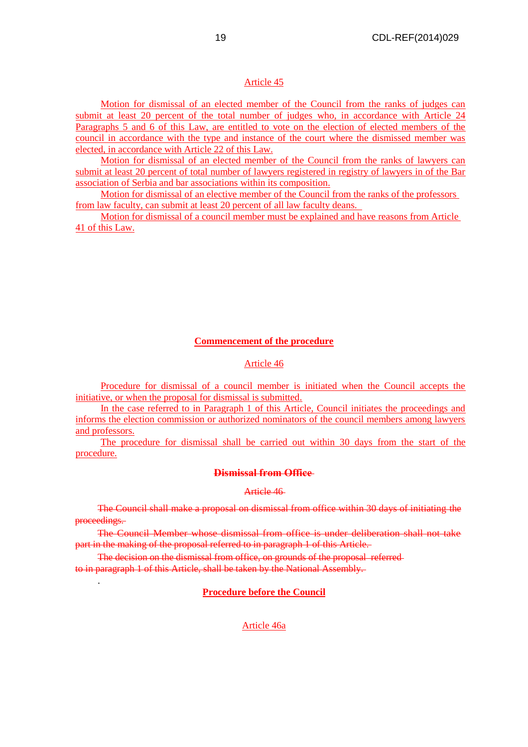Motion for dismissal of an elected member of the Council from the ranks of judges can submit at least 20 percent of the total number of judges who, in accordance with Article 24 Paragraphs 5 and 6 of this Law, are entitled to vote on the election of elected members of the council in accordance with the type and instance of the court where the dismissed member was elected, in accordance with Article 22 of this Law.

Motion for dismissal of an elected member of the Council from the ranks of lawyers can submit at least 20 percent of total number of lawyers registered in registry of lawyers in of the Bar association of Serbia and bar associations within its composition.

Motion for dismissal of an elective member of the Council from the ranks of the professors from law faculty, can submit at least 20 percent of all law faculty deans.

Motion for dismissal of a council member must be explained and have reasons from Article 41 of this Law.

#### **Commencement of the procedure**

# Article 46

Procedure for dismissal of a council member is initiated when the Council accepts the initiative, or when the proposal for dismissal is submitted.

In the case referred to in Paragraph 1 of this Article, Council initiates the proceedings and informs the election commission or authorized nominators of the council members among lawyers and professors.

The procedure for dismissal shall be carried out within 30 days from the start of the procedure.

#### **Dismissal from Office**

## Article 46

The Council shall make a proposal on dismissal from office within 30 days of initiating the proceedings.

The Council Member whose dismissal from office is under deliberation shall not take part in the making of the proposal referred to in paragraph 1 of this Article.

The decision on the dismissal from office, on grounds of the proposal referred to in paragraph 1 of this Article, shall be taken by the National Assembly.

.

#### **Procedure before the Council**

#### Article 46a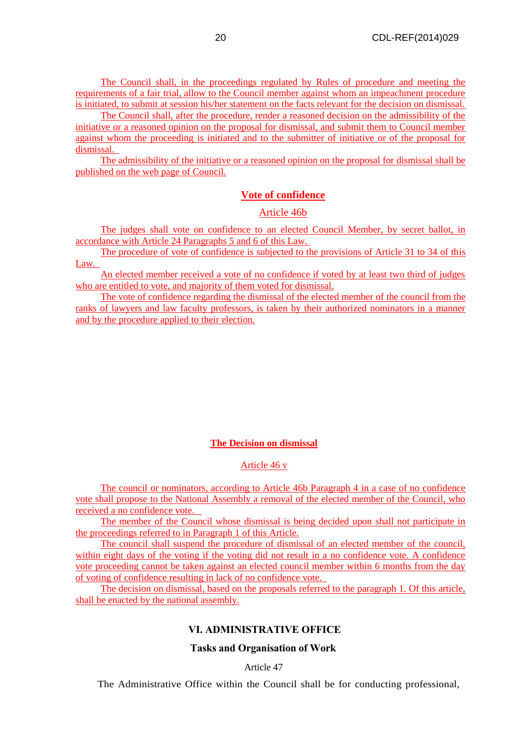The Council shall, in the proceedings regulated by Rules of procedure and meeting the requirements of a fair trial, allow to the Council member against whom an impeachment procedure is initiated, to submit at session his/her statement on the facts relevant for the decision on dismissal.

The Council shall, after the procedure, render a reasoned decision on the admissibility of the initiative or a reasoned opinion on the proposal for dismissal, and submit them to Council member against whom the proceeding is initiated and to the submitter of initiative or of the proposal for dismissal.

The admissibility of the initiative or a reasoned opinion on the proposal for dismissal shall be published on the web page of Council.

# **Vote of confidence**

# Article 46b

The judges shall vote on confidence to an elected Council Member, by secret ballot, in accordance with Article 24 Paragraphs 5 and 6 of this Law.

The procedure of vote of confidence is subjected to the provisions of Article 31 to 34 of this Law.

An elected member received a vote of no confidence if voted by at least two third of judges who are entitled to vote, and majority of them voted for dismissal.

The vote of confidence regarding the dismissal of the elected member of the council from the ranks of lawyers and law faculty professors, is taken by their authorized nominators in a manner and by the procedure applied to their election.

### **The Decision on dismissal**

### Article 46 v

The council or nominators, according to Article 46b Paragraph 4 in a case of no confidence vote shall propose to the National Assembly a removal of the elected member of the Council, who received a no confidence vote.

The member of the Council whose dismissal is being decided upon shall not participate in the proceedings referred to in Paragraph 1 of this Article.

The council shall suspend the procedure of dismissal of an elected member of the council, within eight days of the voting if the voting did not result in a no confidence vote. A confidence vote proceeding cannot be taken against an elected council member within 6 months from the day of voting of confidence resulting in lack of no confidence vote.

The decision on dismissal, based on the proposals referred to the paragraph 1. Of this article, shall be enacted by the national assembly.

# **VI. ADMINISTRATIVE OFFICE**

## **Tasks and Organisation of Work**

Article 47

The Administrative Office within the Council shall be for conducting professional,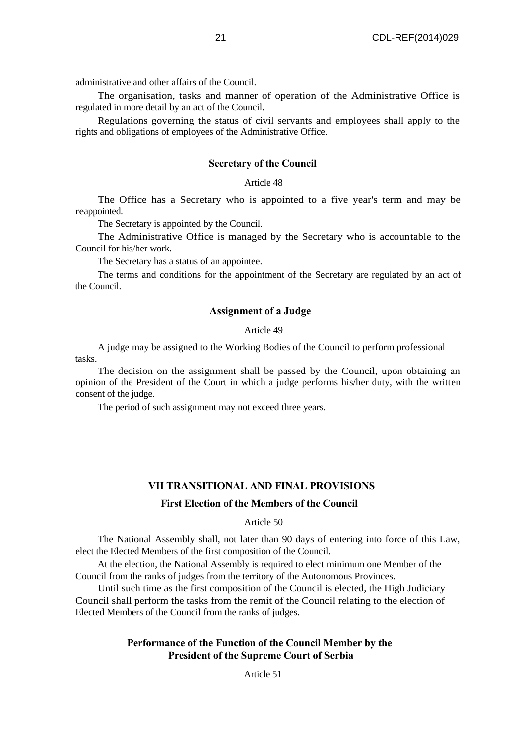administrative and other affairs of the Council.

The organisation, tasks and manner of operation of the Administrative Office is regulated in more detail by an act of the Council.

Regulations governing the status of civil servants and employees shall apply to the rights and obligations of employees of the Administrative Office.

## **Secretary of the Council**

# Article 48

The Office has a Secretary who is appointed to a five year's term and may be reappointed.

The Secretary is appointed by the Council.

The Administrative Office is managed by the Secretary who is accountable to the Council for his/her work.

The Secretary has a status of an appointee.

The terms and conditions for the appointment of the Secretary are regulated by an act of the Council.

# **Assignment of a Judge**

# Article 49

A judge may be assigned to the Working Bodies of the Council to perform professional tasks.

The decision on the assignment shall be passed by the Council, upon obtaining an opinion of the President of the Court in which a judge performs his/her duty, with the written consent of the judge.

The period of such assignment may not exceed three years.

#### **VII TRANSITIONAL AND FINAL PROVISIONS**

### **First Election of the Members of the Council**

#### Article 50

The National Assembly shall, not later than 90 days of entering into force of this Law, elect the Elected Members of the first composition of the Council.

At the election, the National Assembly is required to elect minimum one Member of the Council from the ranks of judges from the territory of the Autonomous Provinces.

Until such time as the first composition of the Council is elected, the High Judiciary Council shall perform the tasks from the remit of the Council relating to the election of Elected Members of the Council from the ranks of judges.

# **Performance of the Function of the Council Member by the President of the Supreme Court of Serbia**

Article 51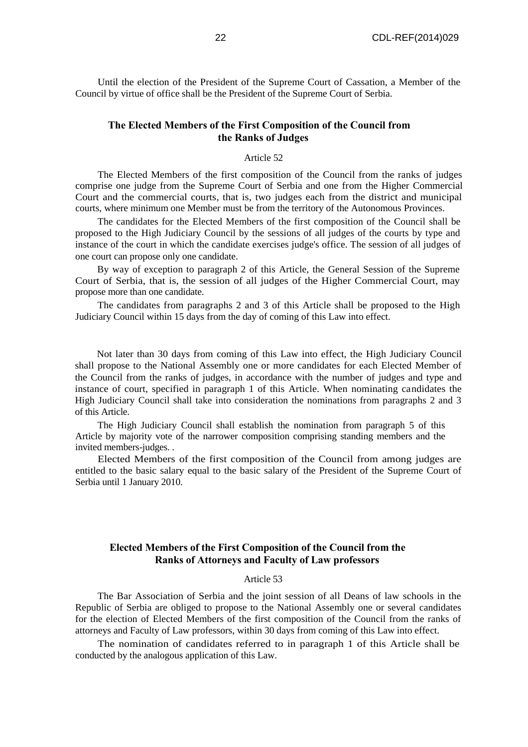Until the election of the President of the Supreme Court of Cassation, a Member of the Council by virtue of office shall be the President of the Supreme Court of Serbia.

# **The Elected Members of the First Composition of the Council from the Ranks of Judges**

#### Article 52

The Elected Members of the first composition of the Council from the ranks of judges comprise one judge from the Supreme Court of Serbia and one from the Higher Commercial Court and the commercial courts, that is, two judges each from the district and municipal courts, where minimum one Member must be from the territory of the Autonomous Provinces.

The candidates for the Elected Members of the first composition of the Council shall be proposed to the High Judiciary Council by the sessions of all judges of the courts by type and instance of the court in which the candidate exercises judge's office. The session of all judges of one court can propose only one candidate.

By way of exception to paragraph 2 of this Article, the General Session of the Supreme Court of Serbia, that is, the session of all judges of the Higher Commercial Court, may propose more than one candidate.

The candidates from paragraphs 2 and 3 of this Article shall be proposed to the High Judiciary Council within 15 days from the day of coming of this Law into effect.

Not later than 30 days from coming of this Law into effect, the High Judiciary Council shall propose to the National Assembly one or more candidates for each Elected Member of the Council from the ranks of judges, in accordance with the number of judges and type and instance of court, specified in paragraph 1 of this Article. When nominating candidates the High Judiciary Council shall take into consideration the nominations from paragraphs 2 and 3 of this Article.

The High Judiciary Council shall establish the nomination from paragraph 5 of this Article by majority vote of the narrower composition comprising standing members and the invited members-judges. .

Elected Members of the first composition of the Council from among judges are entitled to the basic salary equal to the basic salary of the President of the Supreme Court of Serbia until 1 January 2010.

# **Elected Members of the First Composition of the Council from the Ranks of Attorneys and Faculty of Law professors**

#### Article 53

The Bar Association of Serbia and the joint session of all Deans of law schools in the Republic of Serbia are obliged to propose to the National Assembly one or several candidates for the election of Elected Members of the first composition of the Council from the ranks of attorneys and Faculty of Law professors, within 30 days from coming of this Law into effect.

The nomination of candidates referred to in paragraph 1 of this Article shall be conducted by the analogous application of this Law.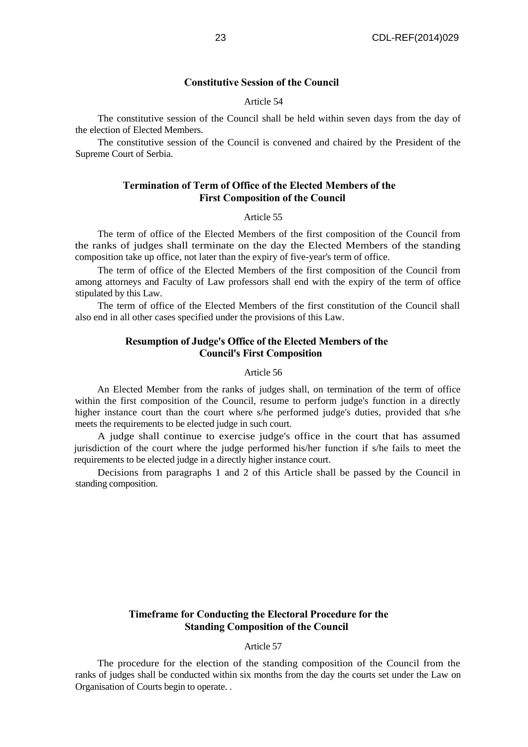# **Constitutive Session of the Council**

## Article 54

The constitutive session of the Council shall be held within seven days from the day of the election of Elected Members.

The constitutive session of the Council is convened and chaired by the President of the Supreme Court of Serbia.

# **Termination of Term of Office of the Elected Members of the First Composition of the Council**

#### Article 55

The term of office of the Elected Members of the first composition of the Council from the ranks of judges shall terminate on the day the Elected Members of the standing composition take up office, not later than the expiry of five-year's term of office.

The term of office of the Elected Members of the first composition of the Council from among attorneys and Faculty of Law professors shall end with the expiry of the term of office stipulated by this Law.

The term of office of the Elected Members of the first constitution of the Council shall also end in all other cases specified under the provisions of this Law.

# **Resumption of Judge's Office of the Elected Members of the Council's First Composition**

# Article 56

An Elected Member from the ranks of judges shall, on termination of the term of office within the first composition of the Council, resume to perform judge's function in a directly higher instance court than the court where s/he performed judge's duties, provided that s/he meets the requirements to be elected judge in such court.

A judge shall continue to exercise judge's office in the court that has assumed jurisdiction of the court where the judge performed his/her function if s/he fails to meet the requirements to be elected judge in a directly higher instance court.

Decisions from paragraphs 1 and 2 of this Article shall be passed by the Council in standing composition.

# **Timeframe for Conducting the Electoral Procedure for the Standing Composition of the Council**

## Article 57

The procedure for the election of the standing composition of the Council from the ranks of judges shall be conducted within six months from the day the courts set under the Law on Organisation of Courts begin to operate. .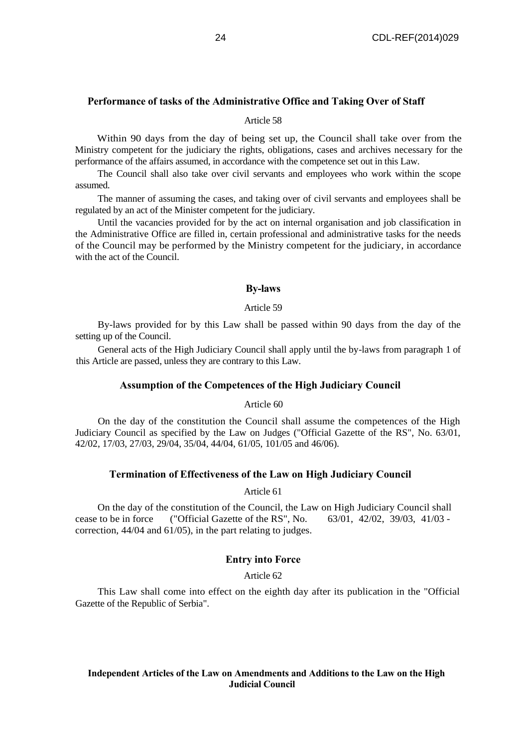## **Performance of tasks of the Administrative Office and Taking Over of Staff**

#### Article 58

Within 90 days from the day of being set up, the Council shall take over from the Ministry competent for the judiciary the rights, obligations, cases and archives necessary for the performance of the affairs assumed, in accordance with the competence set out in this Law.

The Council shall also take over civil servants and employees who work within the scope assumed.

The manner of assuming the cases, and taking over of civil servants and employees shall be regulated by an act of the Minister competent for the judiciary.

Until the vacancies provided for by the act on internal organisation and job classification in the Administrative Office are filled in, certain professional and administrative tasks for the needs of the Council may be performed by the Ministry competent for the judiciary, in accordance with the act of the Council.

#### **By-laws**

## Article 59

By-laws provided for by this Law shall be passed within 90 days from the day of the setting up of the Council.

General acts of the High Judiciary Council shall apply until the by-laws from paragraph 1 of this Article are passed, unless they are contrary to this Law.

## **Assumption of the Competences of the High Judiciary Council**

Article 60

On the day of the constitution the Council shall assume the competences of the High Judiciary Council as specified by the Law on Judges ("Official Gazette of the RS", No. 63/01, 42/02, 17/03, 27/03, 29/04, 35/04, 44/04, 61/05, 101/05 and 46/06).

## **Termination of Effectiveness of the Law on High Judiciary Council**

Article 61

On the day of the constitution of the Council, the Law on High Judiciary Council shall cease to be in force ("Official Gazette of the RS", No. 63/01, 42/02, 39/03, 41/03 correction, 44/04 and 61/05), in the part relating to judges.

# **Entry into Force**

Article 62

This Law shall come into effect on the eighth day after its publication in the "Official Gazette of the Republic of Serbia".

## **Independent Articles of the Law on Amendments and Additions to the Law on the High Judicial Council**